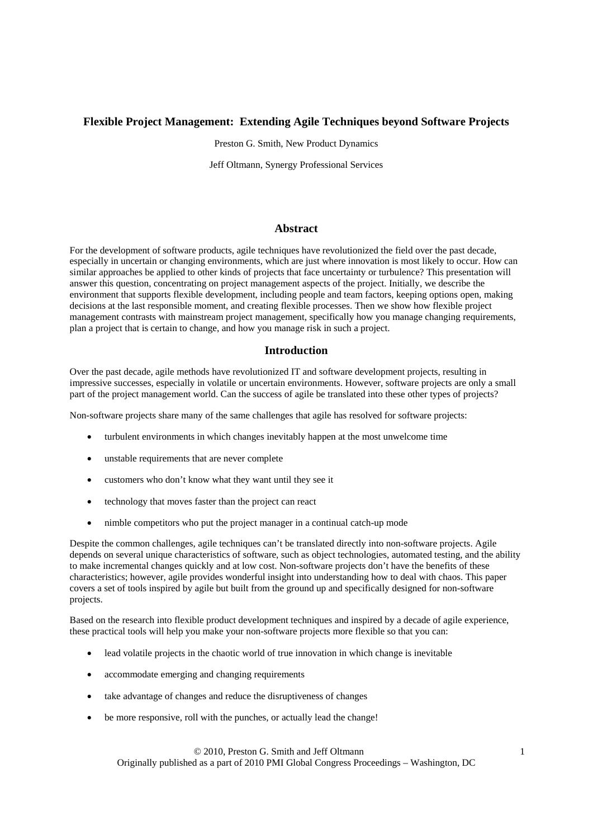# **Flexible Project Management: Extending Agile Techniques beyond Software Projects**

Preston G. Smith, New Product Dynamics

Jeff Oltmann, Synergy Professional Services

## **Abstract**

For the development of software products, agile techniques have revolutionized the field over the past decade, especially in uncertain or changing environments, which are just where innovation is most likely to occur. How can similar approaches be applied to other kinds of projects that face uncertainty or turbulence? This presentation will answer this question, concentrating on project management aspects of the project. Initially, we describe the environment that supports flexible development, including people and team factors, keeping options open, making decisions at the last responsible moment, and creating flexible processes. Then we show how flexible project management contrasts with mainstream project management, specifically how you manage changing requirements, plan a project that is certain to change, and how you manage risk in such a project.

## **Introduction**

Over the past decade, agile methods have revolutionized IT and software development projects, resulting in impressive successes, especially in volatile or uncertain environments. However, software projects are only a small part of the project management world. Can the success of agile be translated into these other types of projects?

Non-software projects share many of the same challenges that agile has resolved for software projects:

- turbulent environments in which changes inevitably happen at the most unwelcome time
- unstable requirements that are never complete
- customers who don't know what they want until they see it
- technology that moves faster than the project can react
- nimble competitors who put the project manager in a continual catch-up mode

Despite the common challenges, agile techniques can't be translated directly into non-software projects. Agile depends on several unique characteristics of software, such as object technologies, automated testing, and the ability to make incremental changes quickly and at low cost. Non-software projects don't have the benefits of these characteristics; however, agile provides wonderful insight into understanding how to deal with chaos. This paper covers a set of tools inspired by agile but built from the ground up and specifically designed for non-software projects.

Based on the research into flexible product development techniques and inspired by a decade of agile experience, these practical tools will help you make your non-software projects more flexible so that you can:

- lead volatile projects in the chaotic world of true innovation in which change is inevitable
- accommodate emerging and changing requirements
- take advantage of changes and reduce the disruptiveness of changes
- be more responsive, roll with the punches, or actually lead the change!

 © 2010, Preston G. Smith and Jeff Oltmann 1 Originally published as a part of 2010 PMI Global Congress Proceedings – Washington, DC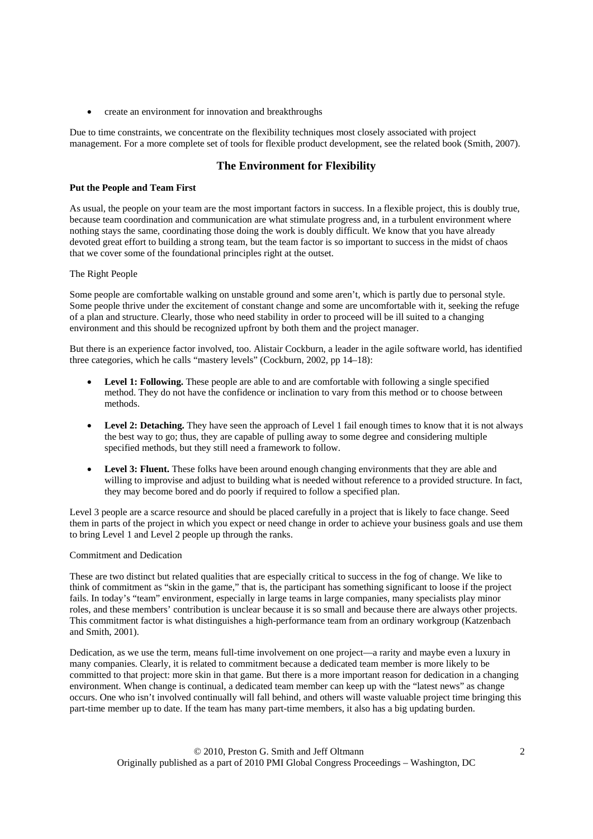• create an environment for innovation and breakthroughs

Due to time constraints, we concentrate on the flexibility techniques most closely associated with project management. For a more complete set of tools for flexible product development, see the related book (Smith, 2007).

## **The Environment for Flexibility**

#### **Put the People and Team First**

As usual, the people on your team are the most important factors in success. In a flexible project, this is doubly true, because team coordination and communication are what stimulate progress and, in a turbulent environment where nothing stays the same, coordinating those doing the work is doubly difficult. We know that you have already devoted great effort to building a strong team, but the team factor is so important to success in the midst of chaos that we cover some of the foundational principles right at the outset.

### The Right People

Some people are comfortable walking on unstable ground and some aren't, which is partly due to personal style. Some people thrive under the excitement of constant change and some are uncomfortable with it, seeking the refuge of a plan and structure. Clearly, those who need stability in order to proceed will be ill suited to a changing environment and this should be recognized upfront by both them and the project manager.

But there is an experience factor involved, too. Alistair Cockburn, a leader in the agile software world, has identified three categories, which he calls "mastery levels" (Cockburn, 2002, pp 14–18):

- **Level 1: Following.** These people are able to and are comfortable with following a single specified method. They do not have the confidence or inclination to vary from this method or to choose between methods.
- **Level 2: Detaching.** They have seen the approach of Level 1 fail enough times to know that it is not always the best way to go; thus, they are capable of pulling away to some degree and considering multiple specified methods, but they still need a framework to follow.
- **Level 3: Fluent.** These folks have been around enough changing environments that they are able and willing to improvise and adjust to building what is needed without reference to a provided structure. In fact, they may become bored and do poorly if required to follow a specified plan.

Level 3 people are a scarce resource and should be placed carefully in a project that is likely to face change. Seed them in parts of the project in which you expect or need change in order to achieve your business goals and use them to bring Level 1 and Level 2 people up through the ranks.

#### Commitment and Dedication

These are two distinct but related qualities that are especially critical to success in the fog of change. We like to think of commitment as "skin in the game," that is, the participant has something significant to loose if the project fails. In today's "team" environment, especially in large teams in large companies, many specialists play minor roles, and these members' contribution is unclear because it is so small and because there are always other projects. This commitment factor is what distinguishes a high-performance team from an ordinary workgroup (Katzenbach and Smith, 2001).

Dedication, as we use the term, means full-time involvement on one project—a rarity and maybe even a luxury in many companies. Clearly, it is related to commitment because a dedicated team member is more likely to be committed to that project: more skin in that game. But there is a more important reason for dedication in a changing environment. When change is continual, a dedicated team member can keep up with the "latest news" as change occurs. One who isn't involved continually will fall behind, and others will waste valuable project time bringing this part-time member up to date. If the team has many part-time members, it also has a big updating burden.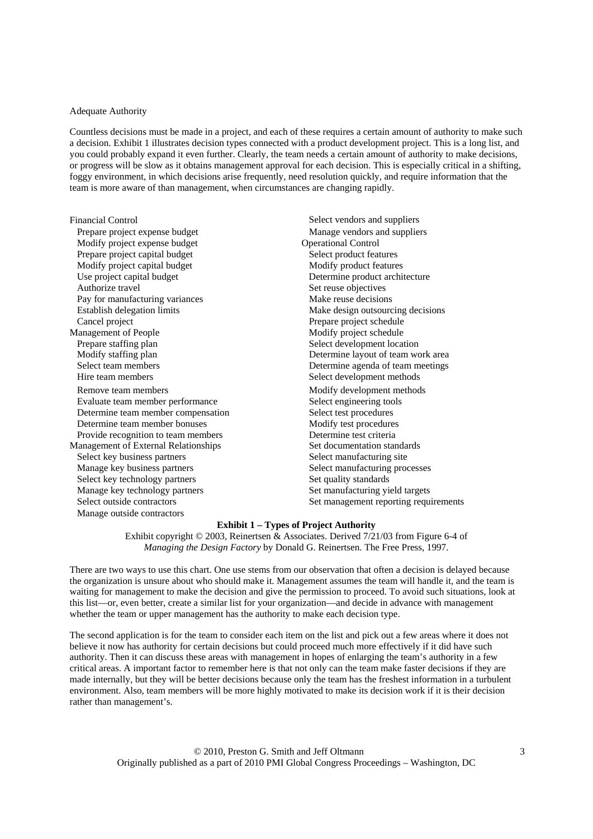#### Adequate Authority

Countless decisions must be made in a project, and each of these requires a certain amount of authority to make such a decision. Exhibit 1 illustrates decision types connected with a product development project. This is a long list, and you could probably expand it even further. Clearly, the team needs a certain amount of authority to make decisions, or progress will be slow as it obtains management approval for each decision. This is especially critical in a shifting, foggy environment, in which decisions arise frequently, need resolution quickly, and require information that the team is more aware of than management, when circumstances are changing rapidly.

| <b>Financial Control</b>             | Select vendors and suppliers          |  |  |
|--------------------------------------|---------------------------------------|--|--|
| Prepare project expense budget       | Manage vendors and suppliers          |  |  |
| Modify project expense budget        | <b>Operational Control</b>            |  |  |
| Prepare project capital budget       | Select product features               |  |  |
| Modify project capital budget        | Modify product features               |  |  |
| Use project capital budget           | Determine product architecture        |  |  |
| Authorize travel                     | Set reuse objectives                  |  |  |
| Pay for manufacturing variances      | Make reuse decisions                  |  |  |
| Establish delegation limits          | Make design outsourcing decisions     |  |  |
| Cancel project                       | Prepare project schedule              |  |  |
| Management of People                 | Modify project schedule               |  |  |
| Prepare staffing plan                | Select development location           |  |  |
| Modify staffing plan                 | Determine layout of team work area    |  |  |
| Select team members                  | Determine agenda of team meetings     |  |  |
| Hire team members                    | Select development methods            |  |  |
| Remove team members                  | Modify development methods            |  |  |
| Evaluate team member performance     | Select engineering tools              |  |  |
| Determine team member compensation   | Select test procedures                |  |  |
| Determine team member bonuses        | Modify test procedures                |  |  |
| Provide recognition to team members  | Determine test criteria               |  |  |
| Management of External Relationships | Set documentation standards           |  |  |
| Select key business partners         | Select manufacturing site             |  |  |
| Manage key business partners         | Select manufacturing processes        |  |  |
| Select key technology partners       | Set quality standards                 |  |  |
| Manage key technology partners       | Set manufacturing yield targets       |  |  |
| Select outside contractors           | Set management reporting requirements |  |  |
| Manage outside contractors           |                                       |  |  |

#### **Exhibit 1 – Types of Project Authority**

Exhibit copyright © 2003, Reinertsen & Associates. Derived 7/21/03 from Figure 6-4 of *Managing the Design Factory* by Donald G. Reinertsen. The Free Press, 1997.

There are two ways to use this chart. One use stems from our observation that often a decision is delayed because the organization is unsure about who should make it. Management assumes the team will handle it, and the team is waiting for management to make the decision and give the permission to proceed. To avoid such situations, look at this list—or, even better, create a similar list for your organization—and decide in advance with management whether the team or upper management has the authority to make each decision type.

The second application is for the team to consider each item on the list and pick out a few areas where it does not believe it now has authority for certain decisions but could proceed much more effectively if it did have such authority. Then it can discuss these areas with management in hopes of enlarging the team's authority in a few critical areas. A important factor to remember here is that not only can the team make faster decisions if they are made internally, but they will be better decisions because only the team has the freshest information in a turbulent environment. Also, team members will be more highly motivated to make its decision work if it is their decision rather than management's.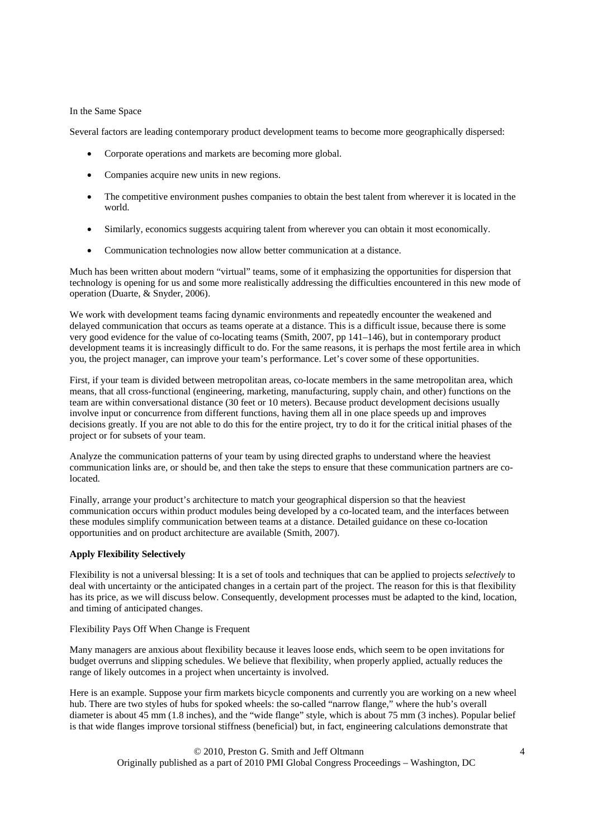#### In the Same Space

Several factors are leading contemporary product development teams to become more geographically dispersed:

- Corporate operations and markets are becoming more global.
- Companies acquire new units in new regions.
- The competitive environment pushes companies to obtain the best talent from wherever it is located in the world.
- Similarly, economics suggests acquiring talent from wherever you can obtain it most economically.
- Communication technologies now allow better communication at a distance.

Much has been written about modern "virtual" teams, some of it emphasizing the opportunities for dispersion that technology is opening for us and some more realistically addressing the difficulties encountered in this new mode of operation (Duarte, & Snyder, 2006).

We work with development teams facing dynamic environments and repeatedly encounter the weakened and delayed communication that occurs as teams operate at a distance. This is a difficult issue, because there is some very good evidence for the value of co-locating teams (Smith, 2007, pp 141–146), but in contemporary product development teams it is increasingly difficult to do. For the same reasons, it is perhaps the most fertile area in which you, the project manager, can improve your team's performance. Let's cover some of these opportunities.

First, if your team is divided between metropolitan areas, co-locate members in the same metropolitan area, which means, that all cross-functional (engineering, marketing, manufacturing, supply chain, and other) functions on the team are within conversational distance (30 feet or 10 meters). Because product development decisions usually involve input or concurrence from different functions, having them all in one place speeds up and improves decisions greatly. If you are not able to do this for the entire project, try to do it for the critical initial phases of the project or for subsets of your team.

Analyze the communication patterns of your team by using directed graphs to understand where the heaviest communication links are, or should be, and then take the steps to ensure that these communication partners are colocated.

Finally, arrange your product's architecture to match your geographical dispersion so that the heaviest communication occurs within product modules being developed by a co-located team, and the interfaces between these modules simplify communication between teams at a distance. Detailed guidance on these co-location opportunities and on product architecture are available (Smith, 2007).

#### **Apply Flexibility Selectively**

Flexibility is not a universal blessing: It is a set of tools and techniques that can be applied to projects *selectively* to deal with uncertainty or the anticipated changes in a certain part of the project. The reason for this is that flexibility has its price, as we will discuss below. Consequently, development processes must be adapted to the kind, location, and timing of anticipated changes.

#### Flexibility Pays Off When Change is Frequent

Many managers are anxious about flexibility because it leaves loose ends, which seem to be open invitations for budget overruns and slipping schedules. We believe that flexibility, when properly applied, actually reduces the range of likely outcomes in a project when uncertainty is involved.

Here is an example. Suppose your firm markets bicycle components and currently you are working on a new wheel hub. There are two styles of hubs for spoked wheels: the so-called "narrow flange," where the hub's overall hub. There are two styles of hubs for spoked wheels: the so-called "narrow flange," diameter is about 45 mm (1.8 inches), and the "wide flange" style, which is about 75 mm (3 inches). Popular belief is that wide flanges improve torsional stiffness (beneficial) but, in fact, engineering calculations demonstrate that

> © 2010, Preston G. Smith and Jeff Oltmann 4 Originally published as a part of 2010 PMI Global Congress Proceedings – Washington, DC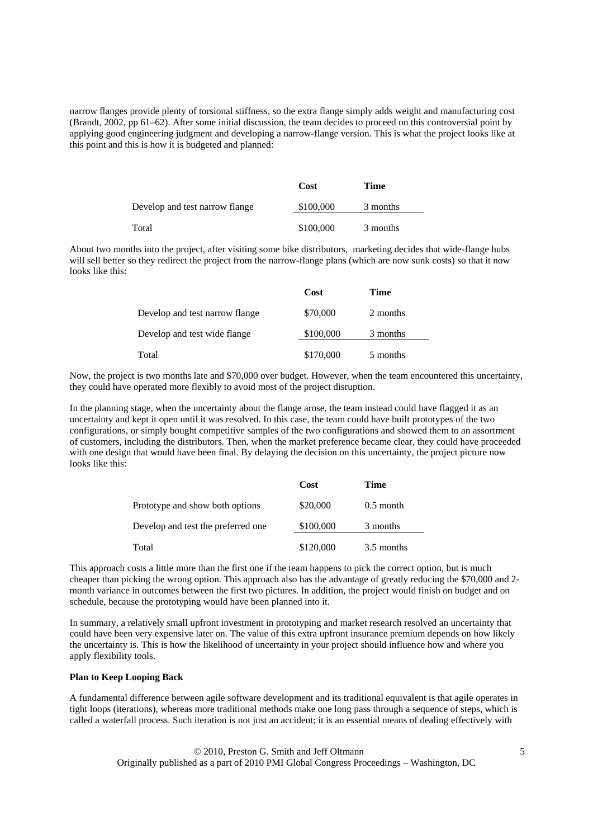narrow flanges provide plenty of torsional stiffness, so the extra flange simply adds weight and manufacturing cost (Brandt, 2002, pp 61–62). After some initial discussion, the team decides to proceed on this controversial point by applying good engineering judgment and developing a narrow-flange version. This is what the project looks like at this point and this is how it is budgeted and planned:

|                                | Cost      | <b>Time</b> |
|--------------------------------|-----------|-------------|
| Develop and test narrow flange | \$100,000 | 3 months    |
| Total                          | \$100,000 | 3 months    |

About two months into the project, after visiting some bike distributors, marketing decides that wide-flange hubs will sell better so they redirect the project from the narrow-flange plans (which are now sunk costs) so that it now looks like this:

|                                | Cost      | Time     |
|--------------------------------|-----------|----------|
| Develop and test narrow flange | \$70,000  | 2 months |
| Develop and test wide flange   | \$100,000 | 3 months |
| Total                          | \$170,000 | 5 months |

Now, the project is two months late and \$70,000 over budget. However, when the team encountered this uncertainty, they could have operated more flexibly to avoid most of the project disruption.

In the planning stage, when the uncertainty about the flange arose, the team instead could have flagged it as an uncertainty and kept it open until it was resolved. In this case, the team could have built prototypes of the two configurations, or simply bought competitive samples of the two configurations and showed them to an assortment of customers, including the distributors. Then, when the market preference became clear, they could have proceeded with one design that would have been final. By delaying the decision on this uncertainty, the project picture now looks like this:

|                                    | Cost      | Time        |
|------------------------------------|-----------|-------------|
| Prototype and show both options    | \$20,000  | $0.5$ month |
| Develop and test the preferred one | \$100,000 | 3 months    |
| Total                              | \$120,000 | 3.5 months  |

This approach costs a little more than the first one if the team happens to pick the correct option, but is much cheaper than picking the wrong option. This approach also has the advantage of greatly reducing the \$70,000 and 2 month variance in outcomes between the first two pictures. In addition, the project would finish on budget and on schedule, because the prototyping would have been planned into it.

In summary, a relatively small upfront investment in prototyping and market research resolved an uncertainty that could have been very expensive later on. The value of this extra upfront insurance premium depends on how likely the uncertainty is. This is how the likelihood of uncertainty in your project should influence how and where you apply flexibility tools.

#### **Plan to Keep Looping Back**

A fundamental difference between agile software development and its traditional equivalent is that agile operates in tight loops (iterations), whereas more traditional methods make one long pass through a sequence of steps, which is called a waterfall process. Such iteration is not just an accident; it is an essential means of dealing effectively with

> © 2010, Preston G. Smith and Jeff Oltmann 5 Originally published as a part of 2010 PMI Global Congress Proceedings – Washington, DC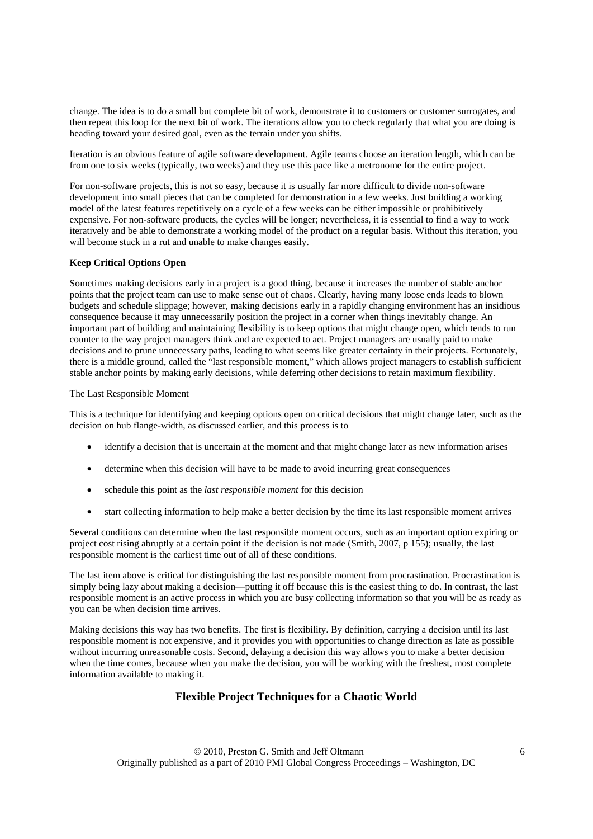change. The idea is to do a small but complete bit of work, demonstrate it to customers or customer surrogates, and then repeat this loop for the next bit of work. The iterations allow you to check regularly that what you are doing is heading toward your desired goal, even as the terrain under you shifts.

Iteration is an obvious feature of agile software development. Agile teams choose an iteration length, which can be from one to six weeks (typically, two weeks) and they use this pace like a metronome for the entire project.

For non-software projects, this is not so easy, because it is usually far more difficult to divide non-software development into small pieces that can be completed for demonstration in a few weeks. Just building a working model of the latest features repetitively on a cycle of a few weeks can be either impossible or prohibitively expensive. For non-software products, the cycles will be longer; nevertheless, it is essential to find a way to work iteratively and be able to demonstrate a working model of the product on a regular basis. Without this iteration, you will become stuck in a rut and unable to make changes easily.

### **Keep Critical Options Open**

Sometimes making decisions early in a project is a good thing, because it increases the number of stable anchor points that the project team can use to make sense out of chaos. Clearly, having many loose ends leads to blown budgets and schedule slippage; however, making decisions early in a rapidly changing environment has an insidious consequence because it may unnecessarily position the project in a corner when things inevitably change. An important part of building and maintaining flexibility is to keep options that might change open, which tends to run counter to the way project managers think and are expected to act. Project managers are usually paid to make decisions and to prune unnecessary paths, leading to what seems like greater certainty in their projects. Fortunately, there is a middle ground, called the "last responsible moment," which allows project managers to establish sufficient stable anchor points by making early decisions, while deferring other decisions to retain maximum flexibility.

#### The Last Responsible Moment

This is a technique for identifying and keeping options open on critical decisions that might change later, such as the decision on hub flange-width, as discussed earlier, and this process is to

- identify a decision that is uncertain at the moment and that might change later as new information arises
- determine when this decision will have to be made to avoid incurring great consequences
- schedule this point as the *last responsible moment* for this decision
- start collecting information to help make a better decision by the time its last responsible moment arrives

Several conditions can determine when the last responsible moment occurs, such as an important option expiring or project cost rising abruptly at a certain point if the decision is not made (Smith, 2007, p 155); usually, the last responsible moment is the earliest time out of all of these conditions.

The last item above is critical for distinguishing the last responsible moment from procrastination. Procrastination is simply being lazy about making a decision—putting it off because this is the easiest thing to do. In contrast, the last responsible moment is an active process in which you are busy collecting information so that you will be as ready as you can be when decision time arrives.

Making decisions this way has two benefits. The first is flexibility. By definition, carrying a decision until its last responsible moment is not expensive, and it provides you with opportunities to change direction as late as possible without incurring unreasonable costs. Second, delaying a decision this way allows you to make a better decision when the time comes, because when you make the decision, you will be working with the freshest, most complete information available to making it.

## **Flexible Project Techniques for a Chaotic World**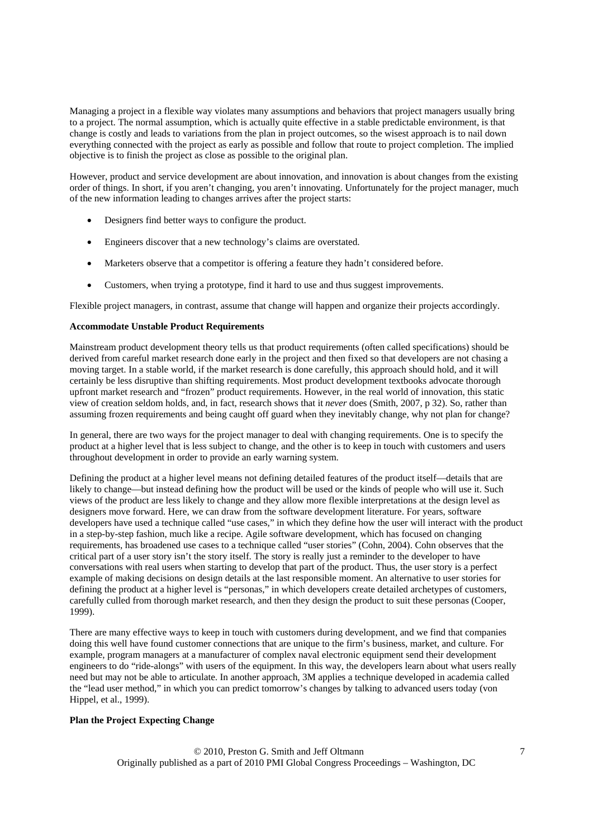Managing a project in a flexible way violates many assumptions and behaviors that project managers usually bring to a project. The normal assumption, which is actually quite effective in a stable predictable environment, is that change is costly and leads to variations from the plan in project outcomes, so the wisest approach is to nail down everything connected with the project as early as possible and follow that route to project completion. The implied objective is to finish the project as close as possible to the original plan.

However, product and service development are about innovation, and innovation is about changes from the existing order of things. In short, if you aren't changing, you aren't innovating. Unfortunately for the project manager, much of the new information leading to changes arrives after the project starts:

- Designers find better ways to configure the product.
- Engineers discover that a new technology's claims are overstated.
- Marketers observe that a competitor is offering a feature they hadn't considered before.
- Customers, when trying a prototype, find it hard to use and thus suggest improvements.

Flexible project managers, in contrast, assume that change will happen and organize their projects accordingly.

#### **Accommodate Unstable Product Requirements**

Mainstream product development theory tells us that product requirements (often called specifications) should be derived from careful market research done early in the project and then fixed so that developers are not chasing a moving target. In a stable world, if the market research is done carefully, this approach should hold, and it will certainly be less disruptive than shifting requirements. Most product development textbooks advocate thorough upfront market research and "frozen" product requirements. However, in the real world of innovation, this static view of creation seldom holds, and, in fact, research shows that it *never* does (Smith, 2007, p 32). So, rather than assuming frozen requirements and being caught off guard when they inevitably change, why not plan for change?

In general, there are two ways for the project manager to deal with changing requirements. One is to specify the product at a higher level that is less subject to change, and the other is to keep in touch with customers and users throughout development in order to provide an early warning system.

Defining the product at a higher level means not defining detailed features of the product itself—details that are likely to change—but instead defining how the product will be used or the kinds of people who will use it. Such views of the product are less likely to change and they allow more flexible interpretations at the design level as designers move forward. Here, we can draw from the software development literature. For years, software developers have used a technique called "use cases," in which they define how the user will interact with the product in a step-by-step fashion, much like a recipe. Agile software development, which has focused on changing requirements, has broadened use cases to a technique called "user stories" (Cohn, 2004). Cohn observes that the critical part of a user story isn't the story itself. The story is really just a reminder to the developer to have conversations with real users when starting to develop that part of the product. Thus, the user story is a perfect example of making decisions on design details at the last responsible moment. An alternative to user stories for defining the product at a higher level is "personas," in which developers create detailed archetypes of customers, carefully culled from thorough market research, and then they design the product to suit these personas (Cooper, 1999).

There are many effective ways to keep in touch with customers during development, and we find that companies doing this well have found customer connections that are unique to the firm's business, market, and culture. For example, program managers at a manufacturer of complex naval electronic equipment send their development engineers to do "ride-alongs" with users of the equipment. In this way, the developers learn about what users really need but may not be able to articulate. In another approach, 3M applies a technique developed in academia called the "lead user method," in which you can predict tomorrow's changes by talking to advanced users today (von Hippel, et al., 1999).

### **Plan the Project Expecting Change**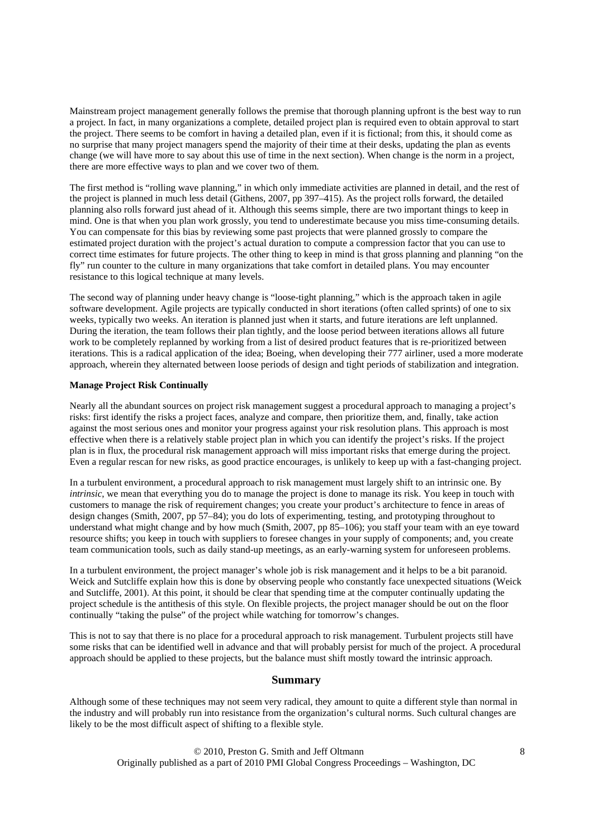Mainstream project management generally follows the premise that thorough planning upfront is the best way to run a project. In fact, in many organizations a complete, detailed project plan is required even to obtain approval to start the project. There seems to be comfort in having a detailed plan, even if it is fictional; from this, it should come as no surprise that many project managers spend the majority of their time at their desks, updating the plan as events change (we will have more to say about this use of time in the next section). When change is the norm in a project, there are more effective ways to plan and we cover two of them.

The first method is "rolling wave planning," in which only immediate activities are planned in detail, and the rest of the project is planned in much less detail (Githens, 2007, pp 397–415). As the project rolls forward, the detailed planning also rolls forward just ahead of it. Although this seems simple, there are two important things to keep in mind. One is that when you plan work grossly, you tend to underestimate because you miss time-consuming details. You can compensate for this bias by reviewing some past projects that were planned grossly to compare the estimated project duration with the project's actual duration to compute a compression factor that you can use to correct time estimates for future projects. The other thing to keep in mind is that gross planning and planning "on the fly" run counter to the culture in many organizations that take comfort in detailed plans. You may encounter resistance to this logical technique at many levels.

The second way of planning under heavy change is "loose-tight planning," which is the approach taken in agile software development. Agile projects are typically conducted in short iterations (often called sprints) of one to six weeks, typically two weeks. An iteration is planned just when it starts, and future iterations are left unplanned. During the iteration, the team follows their plan tightly, and the loose period between iterations allows all future work to be completely replanned by working from a list of desired product features that is re-prioritized between iterations. This is a radical application of the idea; Boeing, when developing their 777 airliner, used a more moderate approach, wherein they alternated between loose periods of design and tight periods of stabilization and integration.

### **Manage Project Risk Continually**

Nearly all the abundant sources on project risk management suggest a procedural approach to managing a project's risks: first identify the risks a project faces, analyze and compare, then prioritize them, and, finally, take action against the most serious ones and monitor your progress against your risk resolution plans. This approach is most effective when there is a relatively stable project plan in which you can identify the project's risks. If the project plan is in flux, the procedural risk management approach will miss important risks that emerge during the project. Even a regular rescan for new risks, as good practice encourages, is unlikely to keep up with a fast-changing project.

In a turbulent environment, a procedural approach to risk management must largely shift to an intrinsic one. By *intrinsic*, we mean that everything you do to manage the project is done to manage its risk. You keep in touch with customers to manage the risk of requirement changes; you create your product's architecture to fence in areas of design changes (Smith, 2007, pp 57–84); you do lots of experimenting, testing, and prototyping throughout to understand what might change and by how much (Smith, 2007, pp 85–106); you staff your team with an eye toward resource shifts; you keep in touch with suppliers to foresee changes in your supply of components; and, you create team communication tools, such as daily stand-up meetings, as an early-warning system for unforeseen problems.

In a turbulent environment, the project manager's whole job is risk management and it helps to be a bit paranoid. Weick and Sutcliffe explain how this is done by observing people who constantly face unexpected situations (Weick and Sutcliffe, 2001). At this point, it should be clear that spending time at the computer continually updating the project schedule is the antithesis of this style. On flexible projects, the project manager should be out on the floor continually "taking the pulse" of the project while watching for tomorrow's changes.

This is not to say that there is no place for a procedural approach to risk management. Turbulent projects still have some risks that can be identified well in advance and that will probably persist for much of the project. A procedural approach should be applied to these projects, but the balance must shift mostly toward the intrinsic approach.

### **Summary**

Although some of these techniques may not seem very radical, they amount to quite a different style than normal in the industry and will probably run into resistance from the organization's cultural norms. Such cultural changes are likely to be the most difficult aspect of shifting to a flexible style.

> © 2010, Preston G. Smith and Jeff Oltmann 8 Originally published as a part of 2010 PMI Global Congress Proceedings – Washington, DC